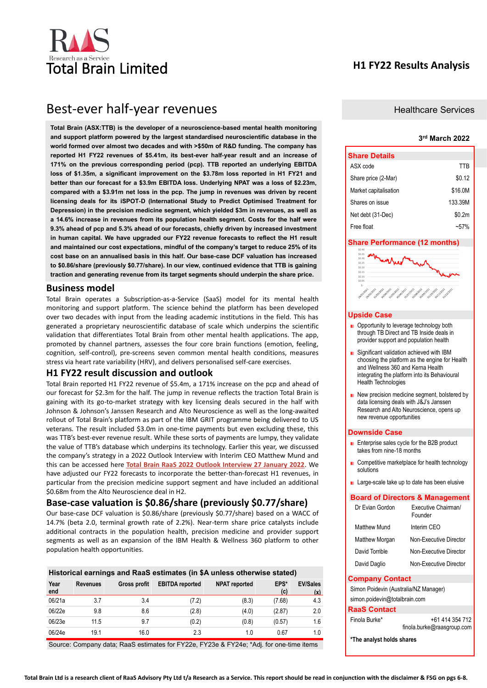

# **H1 FY22 Results Analysis**

# Best-ever half-year revenues

**Total Brain (ASX:TTB) is the developer of a neuroscience-based mental health monitoring and support platform powered by the largest standardised neuroscientific database in the world formed over almost two decades and with >\$50m of R&D funding. The company has reported H1 FY22 revenues of \$5.41m, its best-ever half-year result and an increase of 171% on the previous corresponding period (pcp). TTB reported an underlying EBITDA loss of \$1.35m, a significant improvement on the \$3.78m loss reported in H1 FY21 and better than our forecast for a \$3.9m EBITDA loss. Underlying NPAT was a loss of \$2.23m, compared with a \$3.91m net loss in the pcp. The jump in revenues was driven by recent licensing deals for its iSPOT-D (International Study to Predict Optimised Treatment for Depression) in the precision medicine segment, which yielded \$3m in revenues, as well as a 14.6% increase in revenues from its population health segment. Costs for the half were 9.3% ahead of pcp and 5.3% ahead of our forecasts, chiefly driven by increased investment in human capital. We have upgraded our FY22 revenue forecasts to reflect the H1 result and maintained our cost expectations, mindful of the company's target to reduce 25% of its cost base on an annualised basis in this half. Our base-case DCF valuation has increased to \$0.86/share (previously \$0.77/share). In our view, continued evidence that TTB is gaining traction and generating revenue from its target segments should underpin the share price.**

## **Business model**

Total Brain operates a Subscription-as-a-Service (SaaS) model for its mental health monitoring and support platform. The science behind the platform has been developed over two decades with input from the leading academic institutions in the field. This has generated a proprietary neuroscientific database of scale which underpins the scientific validation that differentiates Total Brain from other mental health applications. The app, promoted by channel partners, assesses the four core brain functions (emotion, feeling, cognition, self-control), pre-screens seven common mental health conditions, measures stress via heart rate variability (HRV), and delivers personalised self-care exercises.

## **H1 FY22 result discussion and outlook**

Total Brain reported H1 FY22 revenue of \$5.4m, a 171% increase on the pcp and ahead of our forecast for \$2.3m for the half. The jump in revenue reflects the traction Total Brain is gaining with its go-to-market strategy with key licensing deals secured in the half with Johnson & Johnson's Janssen Research and Alto Neuroscience as well as the long-awaited rollout of Total Brain's platform as part of the IBM GRIT programme being delivered to US veterans. The result included \$3.0m in one-time payments but even excluding these, this was TTB's best-ever revenue result. While these sorts of payments are lumpy, they validate the value of TTB's database which underpins its technology. Earlier this year, we discussed the company's strategy in a 2022 Outlook Interview with Interim CEO Matthew Mund and this can be accessed here **[Total Brain RaaS 2022 Outlook Interview 27 January 2022](https://www.raasgroup.com/?mailpoet_router&endpoint=track&action=click&data=WyIzIiwiYzc0ZGQ4IiwiMzYiLCJhYTAzNTcyY2EwODgiLGZhbHNlXQ)**. We have adjusted our FY22 forecasts to incorporate the better-than-forecast H1 revenues, in particular from the precision medicine support segment and have included an additional \$0.68m from the Alto Neuroscience deal in H2.

# **Base-case valuation is \$0.86/share (previously \$0.77/share)**

Our base-case DCF valuation is \$0.86/share (previously \$0.77/share) based on a WACC of 14.7% (beta 2.0, terminal growth rate of 2.2%). Near-term share price catalysts include additional contracts in the population health, precision medicine and provider support segments as well as an expansion of the IBM Health & Wellness 360 platform to other population health opportunities.

|             |                 |              |                        | Historical earnings and RaaS estimates (in \$A unless otherwise stated) |             |                        |
|-------------|-----------------|--------------|------------------------|-------------------------------------------------------------------------|-------------|------------------------|
| Year<br>end | <b>Revenues</b> | Gross profit | <b>EBITDA</b> reported | <b>NPAT</b> reported                                                    | EPS*<br>(c) | <b>EV/Sales</b><br>(x) |
| 06/21a      | 3.7             | 3.4          | (7.2)                  | (8.3)                                                                   | (7.68)      | 4.3                    |
| 06/22e      | 9.8             | 8.6          | (2.8)                  | (4.0)                                                                   | (2.87)      | 2.0                    |
| 06/23e      | 11.5            | 9.7          | (0.2)                  | (0.8)                                                                   | (0.57)      | 1.6                    |
| 06/24e      | 19.1            | 16.0         | 2.3                    | 1.0                                                                     | 0.67        | 1.0                    |

Source: Company data; RaaS estimates for FY22e, FY23e & FY24e; \*Adj. for one-time items

#### Healthcare Services

### **3 rd March 2022**

| <b>Share Details</b>  |         |
|-----------------------|---------|
| ASX code              | TTB     |
| Share price (2-Mar)   | \$0.12  |
| Market capitalisation | \$16.0M |
| Shares on issue       | 133.39M |
| Net debt (31-Dec)     | \$0.2m  |
| Free float            | $-57$   |

#### **Share Performance (12 months)**



#### **Upside Case**

- Opportunity to leverage technology both through TB Direct and TB Inside deals in provider support and population health
- Significant validation achieved with IBM choosing the platform as the engine for Health and Wellness 360 and Kerna Health integrating the platform into its Behavioural Health Technologies
- New precision medicine segment, bolstered by data licensing deals with J&J's Janssen Research and Alto Neuroscience, opens up new revenue opportunities

#### **Downside Case**

- **E** Enterprise sales cycle for the B2B product takes from nine-18 months
- Competitive marketplace for health technology solutions
- **Large-scale take up to date has been elusive**

#### **Board of Directors & Management**

| Dr Evian Gordon       | Executive Chairman/<br>Founder |
|-----------------------|--------------------------------|
| Matthew Mund          | Interim CFO                    |
| <b>Matthew Morgan</b> | Non-Executive Director         |
| David Torrible        | Non-Executive Director         |
| David Daglio          | Non-Executive Director         |

#### **Company Contact**

Simon Poidevin (Australia/NZ Manager) simon.poidevin@totalbrain.com

#### **RaaS Contact**

| Finola Burke* | +61 414 354 712            |
|---------------|----------------------------|
|               | finola.burke@raasgroup.com |

**\*The analyst holds shares**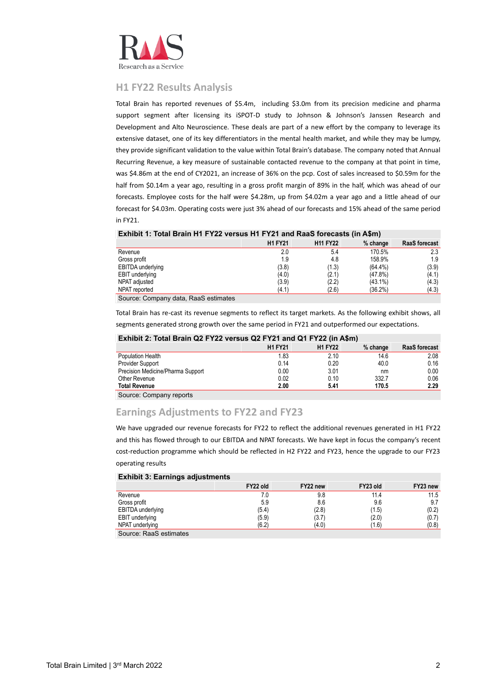

# **H1 FY22 Results Analysis**

Total Brain has reported revenues of \$5.4m, including \$3.0m from its precision medicine and pharma support segment after licensing its iSPOT-D study to Johnson & Johnson's Janssen Research and Development and Alto Neuroscience. These deals are part of a new effort by the company to leverage its extensive dataset, one of its key differentiators in the mental health market, and while they may be lumpy, they provide significant validation to the value within Total Brain's database. The company noted that Annual Recurring Revenue, a key measure of sustainable contacted revenue to the company at that point in time, was \$4.86m at the end of CY2021, an increase of 36% on the pcp. Cost of sales increased to \$0.59m for the half from \$0.14m a year ago, resulting in a gross profit margin of 89% in the half, which was ahead of our forecasts. Employee costs for the half were \$4.28m, up from \$4.02m a year ago and a little ahead of our forecast for \$4.03m. Operating costs were just 3% ahead of our forecasts and 15% ahead of the same period in FY21.

#### **Exhibit 1: Total Brain H1 FY22 versus H1 FY21 and RaaS forecasts (in A\$m)**

|                                     | <b>H1 FY21</b> | <b>H11 FY22</b> | $%$ change | <b>RaaS forecast</b> |
|-------------------------------------|----------------|-----------------|------------|----------------------|
| Revenue                             | 2.0            | 5.4             | 170.5%     | 2.3                  |
| Gross profit                        | 1.9            | 4.8             | 158.9%     | 1.9                  |
| <b>EBITDA</b> underlying            | (3.8)          | (1.3)           | $(64.4\%)$ | (3.9)                |
| <b>EBIT</b> underlying              | (4.0)          | (2.1)           | (47.8%)    | (4.1)                |
| NPAT adjusted                       | (3.9)          | (2.2)           | $(43.1\%)$ | (4.3)                |
| NPAT reported                       | (4.1)          | (2.6)           | (36.2%)    | (4.3)                |
| Course: Company data Boos optimates |                |                 |            |                      |

Source: Company data, RaaS estimates

Total Brain has re-cast its revenue segments to reflect its target markets. As the following exhibit shows, all segments generated strong growth over the same period in FY21 and outperformed our expectations.

## **Exhibit 2: Total Brain Q2 FY22 versus Q2 FY21 and Q1 FY22 (in A\$m)**

|                                   | <b>H1 FY21</b> | <b>H1 FY22</b> | $%$ change | <b>RaaS</b> forecast |
|-----------------------------------|----------------|----------------|------------|----------------------|
| Population Health                 | 1.83           | 2.10           | 14.6       | 2.08                 |
| Provider Support                  | 0.14           | 0.20           | 40.0       | 0.16                 |
| Precision Medicine/Pharma Support | 0.00           | 3.01           | nm         | 0.00                 |
| Other Revenue                     | 0.02           | 0.10           | 332.7      | 0.06                 |
| <b>Total Revenue</b>              | 2.00           | 5.41           | 170.5      | 2.29                 |
| Source: Company reports           |                |                |            |                      |

# **Earnings Adjustments to FY22 and FY23**

We have upgraded our revenue forecasts for FY22 to reflect the additional revenues generated in H1 FY22 and this has flowed through to our EBITDA and NPAT forecasts. We have kept in focus the company's recent cost-reduction programme which should be reflected in H2 FY22 and FY23, hence the upgrade to our FY23 operating results

#### **Exhibit 3: Earnings adjustments FY22 old FY22 new FY23 old FY23 new** Revenue 11.5 and 11.5 and 11.5 and 11.6 and 11.6 and 11.6 and 11.6 and 11.5 and 11.5 and 11.5 and 11.5 and 11.5 Gross profit 5.9 8.6 9.6 9.7 EBITDA underlying (5.4) (5.4) (2.8) (1.5) (0.2) EBIT underlying (5.9) (3.7) (2.0) (3.7) (2.0) (0.7) NPAT underlying (6.2) (6.2) (4.0) (1.6) (0.8) Source: RaaS estimates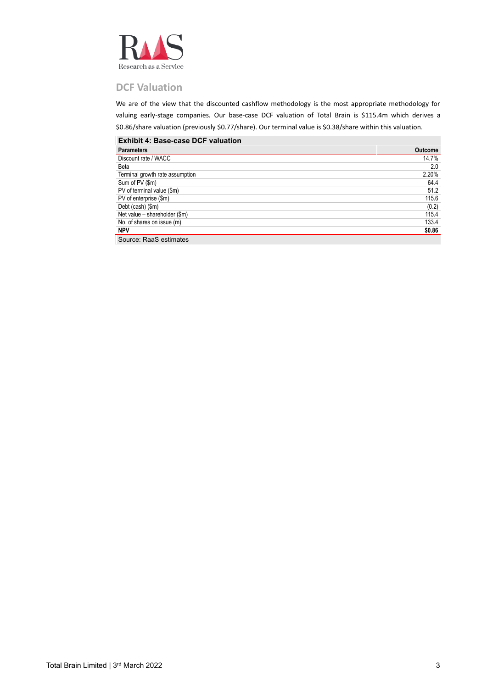

# **DCF Valuation**

We are of the view that the discounted cashflow methodology is the most appropriate methodology for valuing early-stage companies. Our base-case DCF valuation of Total Brain is \$115.4m which derives a \$0.86/share valuation (previously \$0.77/share). Our terminal value is \$0.38/share within this valuation.

### **Exhibit 4: Base-case DCF valuation**

| <b>Parameters</b>               | <b>Outcome</b> |
|---------------------------------|----------------|
| Discount rate / WACC            | 14.7%          |
| Beta                            | 2.0            |
| Terminal growth rate assumption | 2.20%          |
| Sum of PV (\$m)                 | 64.4           |
| PV of terminal value (\$m)      | 51.2           |
| PV of enterprise (\$m)          | 115.6          |
| Debt (cash) (\$m)               | (0.2)          |
| Net value - shareholder (\$m)   | 115.4          |
| No. of shares on issue (m)      | 133.4          |
| <b>NPV</b>                      | \$0.86         |
| Source: RaaS estimates          |                |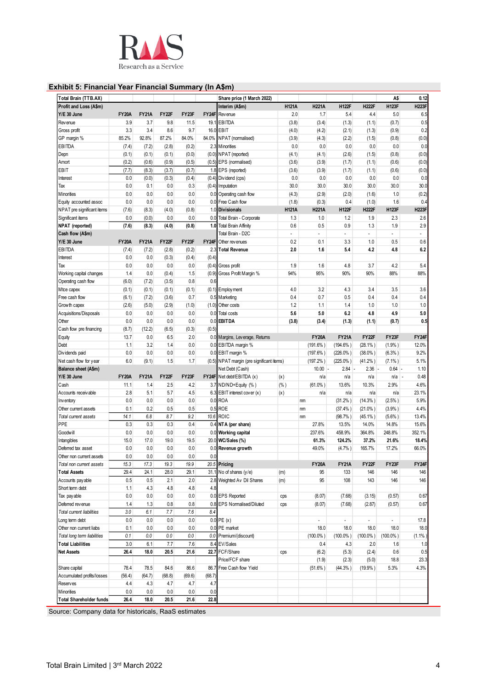

## **Exhibit 5: Financial Year Financial Summary (In A\$m)**

| Total Brain (TTB.AX)        |              |              |        |         |        | Share price (1 March 2022)                |              |                |                |                | A\$            | 0.12           |
|-----------------------------|--------------|--------------|--------|---------|--------|-------------------------------------------|--------------|----------------|----------------|----------------|----------------|----------------|
| Profit and Loss (A\$m)      |              |              |        |         |        | Interim (A\$m)                            | <b>H121A</b> | <b>H221A</b>   | <b>H122F</b>   | <b>H222F</b>   | H123F          | <b>H223F</b>   |
| Y/E 30 June                 | <b>FY20A</b> | <b>FY21A</b> | FY22F  | FY23F   |        | FY24F Revenue                             | 2.0          | 1.7            | 5.4            | 4.4            | 5.0            | 6.5            |
| Rev enue                    | 3.9          | 3.7          | 9.8    | 11.5    | 19.1   | <b>EBITDA</b>                             | (3.8)        | (3.4)          | (1.3)          | (1.1)          | (0.7)          | 0.5            |
| Gross profit                | 3.3          | 3.4          | 8.6    | 9.7     |        | 16.0 EBIT                                 | (4.0)        | (4.2)          | (2.1)          | (1.3)          | (0.9)          | 0.2            |
| GP margin %                 | 85.2%        | 92.8%        | 87.2%  | 84.0%   |        | 84.0% NPAT (normalised)                   |              |                |                | (1.5)          |                | (0.0)          |
|                             |              |              |        |         |        | 2.3 Minorities                            | (3.9)        | (4.3)<br>0.0   | (2.2)          | 0.0            | (0.8)          | 0.0            |
| EBITDA                      | (7.4)        | (7.2)        | (2.8)  | (0.2)   |        |                                           | 0.0          |                | 0.0            |                | 0.0            |                |
| Depn                        | (0.1)        | (0.1)        | (0.1)  | (0.0)   |        | (0.0) NPAT (reported)                     | (4.1)        | (4.1)          | (2.6)          | (1.5)          | (0.8)          | (0.0)          |
| Amort                       | (0.2)        | (0.6)        | (0.9)  | (0.5)   |        | (0.5) EPS (normalised)                    | (3.6)        | (3.9)          | (1.7)          | (1.1)          | (0.6)          | (0.0)          |
| EBIT                        | (7.7)        | (8.3)        | (3.7)  | (0.7)   |        | 1.8 EPS (reported)                        | (3.6)        | (3.9)          | (1.7)          | (1.1)          | (0.6)          | (0.0)          |
| Interest                    | 0.0          | (0.0)        | (0.3)  | (0.4)   |        | (0.4) Dividend (cps)                      | 0.0          | 0.0            | 0.0            | 0.0            | 0.0            | 0.0            |
| Tax                         | 0.0          | 0.1          | 0.0    | 0.3     |        | (0.4) Imputation                          | 30.0         | 30.0           | 30.0           | 30.0           | 30.0           | 30.0           |
| Minorities                  | 0.0          | 0.0          | 0.0    | 0.0     |        | 0.0 Operating cash flow                   | (4.3)        | (2.9)          | (2.0)          | (1.6)          | 1.0            | (0.2)          |
| Equity accounted assoc      | 0.0          | 0.0          | 0.0    | 0.0     |        | 0.0 Free Cash flow                        | (1.8)        | (0.3)          | 0.4            | (1.0)          | 1.6            | 0.4            |
| NPAT pre significant items  | (7.6)        | (8.3)        | (4.0)  | (0.8)   |        | 1.0 Divisionals                           | <b>H121A</b> | <b>H221A</b>   | <b>H122F</b>   | <b>H222F</b>   | <b>H123F</b>   | <b>H223F</b>   |
| Significant items           | 0.0          | (0.0)        | 0.0    | 0.0     |        | 0.0 Total Brain - Corporate               | 1.3          | 1.0            | 1.2            | 1.9            | 2.3            | 2.6            |
| NPAT (reported)             | (7.6)        | (8.3)        | (4.0)  | (0.8)   | 1.0    | <b>Total Brain Affinity</b>               | 0.6          | 0.5            | 0.9            | 1.3            | 1.9            | 2.9            |
| Cash flow (A\$m)            |              |              |        |         |        | Total Brain - D2C                         | $\omega$     | $\overline{a}$ | $\blacksquare$ | $\blacksquare$ | $\overline{a}$ | $\overline{a}$ |
| Y/E 30 June                 | <b>FY20A</b> | <b>FY21A</b> | FY22F  | FY23F   |        | <b>FY24F</b> Other revenues               | 0.2          | 0.1            | 3.3            | 1.0            | 0.5            | 0.6            |
| EBITDA                      |              |              |        |         | 2.3    |                                           |              | 1.6            |                | 4.2            |                | 6.2            |
|                             | (7.4)        | (7.2)        | (2.8)  | (0.2)   |        | <b>Total Revenue</b>                      | 2.0          |                | 5.4            |                | 4.8            |                |
| Interest                    | 0.0          | 0.0          | (0.3)  | (0.4)   | (0.4)  |                                           |              |                |                |                |                |                |
| Tax                         | 0.0          | 0.0          | 0.0    | 0.0     | (0.4)  | Gross profit                              | 1.9          | 1.6            | 4.8            | 3.7            | 4.2            | 5.4            |
| Working capital changes     | 1.4          | 0.0          | (0.4)  | 1.5     |        | (0.9) Gross Profit Margin %               | 94%          | 95%            | 90%            | 90%            | 88%            | 88%            |
| Operating cash flow         | (6.0)        | (7.2)        | (3.5)  | 0.8     | 0.6    |                                           |              |                |                |                |                |                |
| Mtce capex                  | (0.1)        | (0.1)        | (0.1)  | (0.1)   | (0.1)  | Employment                                | 4.0          | 3.2            | 4.3            | 3.4            | 3.5            | 3.6            |
| Free cash flow              | (6.1)        | (7.2)        | (3.6)  | 0.7     |        | 0.5 Marketing                             | 0.4          | 0.7            | 0.5            | 0.4            | 0.4            | 0.4            |
| Growth capex                | (2.6)        | (5.0)        | (2.9)  | (1.0)   |        | (1.0) Other costs                         | 1.2          | 1.1            | 1.4            | 1.0            | 1.0            | 1.0            |
| Acquisitions/Disposals      | 0.0          | 0.0          | 0.0    | 0.0     | 0.0    | Total costs                               | 5.6          | 5.0            | 6.2            | 4.8            | 4.9            | 5.0            |
| Other                       | 0.0          | 0.0          | 0.0    | 0.0     | 0.0    | <b>EBITDA</b>                             | (3.8)        | (3.4)          | (1.3)          | (1.1)          | (0.7)          | 0.5            |
| Cash flow pre financing     | (8.7)        | (12.2)       | (6.5)  | (0.3)   | (0.5)  |                                           |              |                |                |                |                |                |
| Equity                      | 13.7         | 0.0          | 6.5    | 2.0     |        | 0.0 Margins, Leverage, Returns            |              | <b>FY20A</b>   | <b>FY21A</b>   | FY22F          | FY23F          | FY24F          |
| Debt                        | 1.1          | 3.2          | 1.4    | 0.0     |        | 0.0 EBITDA margin %                       |              | $(191.6\%)$    | $(194.6\%)$    | $(28.1\%)$     | (1.9% )        | 12.0%          |
|                             |              |              |        |         |        |                                           |              |                |                |                |                |                |
| Dividends paid              | 0.0          | 0.0          | 0.0    | 0.0     |        | 0.0 EBIT margin %                         |              | $(197.6\%)$    | $(226.0\%)$    | $(38.0\%)$     | (6.3% )        | 9.2%           |
| Net cash flow for year      | 6.0          | (9.1)        | 1.5    | 1.7     |        | (0.5) NPAT margin (pre significant items) |              | $(197.2\%)$    | $(225.0\%)$    | $(41.2\%)$     | $(7.1\%)$      | 5.1%           |
| Balance sheet (A\$m)        |              |              |        |         |        | Net Debt (Cash)                           |              | 10.00          | 2.84           | 2.36           | $0.64 -$       | 1.10           |
| Y/E 30 June                 | <b>FY20A</b> | <b>FY21A</b> | FY22F  | FY23F   |        | FY24F Net debt/EBITDA (x)                 | (x)          | n/a            | n/a            | n/a            | n/a<br>÷,      | 0.48           |
| Cash                        | 11.1         | 1.4          | 2.5    | 4.2     |        | 3.7 ND/ND+Equity (%)                      | $(\% )$      | $(61.0\%)$     | 13.6%          | 10.3%          | 2.9%           | 4.6%           |
| Accounts receivable         | 2.8          | 5.1          | 5.7    | 4.5     |        | 6.3 EBIT interest cover (x)               | (x)          | n/a            | n/a            | n/a            | n/a            | 23.1%          |
| Inventory                   | 0.0          | 0.0          | 0.0    | 0.0     |        | 0.0 ROA                                   |              | nm             | $(31.2\%)$     | $(14.3\%)$     | $(2.5\%)$      | 5.9%           |
| Other current assets        | 0.1          | 0.2          | 0.5    | 0.5     |        | 0.5 ROE                                   |              | nm             | $(37.4\%)$     | $(21.0\%)$     | (3.9% )        | 4.4%           |
| Total current assets        | 14.1         | 6.8          | 8.7    | 9.2     |        | 10.6 ROIC                                 |              | nm             | (98.7%)        | $(45.1\%)$     | $(5.6\%)$      | 13.4%          |
| PPE                         | 0.3          | 0.3          | 0.3    | 0.4     |        | 0.4 NTA (per share)                       |              | 27.8%          | 13.5%          | 14.0%          | 14.8%          | 15.6%          |
| <b>Goodwill</b>             | 0.0          | 0.0          | 0.0    | 0.0     |        | 0.0 Working capital                       |              | 237.6%         | 458.9%         | 364.8%         | 248.8%         | 352.1%         |
| Intangibles                 | 15.0         | 17.0         | 19.0   | 19.5    |        | 20.0 WC/Sales (%)                         |              | 61.3%          | 124.2%         | 37.2%          | 21.6%          | 18.4%          |
| Deferred tax asset          | $0.0\,$      | 0.0          | 0.0    | 0.0     |        | 0.0 Revenue growth                        |              | 49.0%          | (4.7%          | 165.7%         | 17.2%          | 66.0%          |
| Other non current assets    | 0.0          | 0.0          | 0.0    | 0.0     | 0.0    |                                           |              |                |                |                |                |                |
| Total non current assets    | 15.3         | 17.3         | 19.3   | 19.9    |        | 20.5 Pricing                              |              | <b>FY20A</b>   | <b>FY21A</b>   | FY22F          | FY23F          | FY24F          |
|                             |              |              |        |         |        |                                           |              |                |                |                |                |                |
| <b>Total Assets</b>         | 29.4         | 24.1         | 28.0   | 29.1    |        | 31.1 No of shares (y/e)                   | (m)          | 95             | 133            | 146            | 146            | 146            |
| Accounts pay able           | 0.5          | 0.5          | 2.1    | 2.0     |        | 2.8 Weighted Av Dil Shares                | (m)          | 95             | 108            | 143            | 146            | 146            |
| Short term debt             | 1.1          | 4.3          | 4.8    | 4.8     | 4.8    |                                           |              |                |                |                |                |                |
| Tax payable                 | 0.0          | 0.0          | 0.0    | 0.0     |        | 0.0 EPS Reported                          | cps          | (8.07)         | (7.68)         | (3.15)         | (0.57)         | 0.67           |
| Deferred revenue            | 1.4          | 1.3          | 0.8    | 0.8     |        | 0.8 EPS Normalised/Diluted                | cps          | (8.07)         | (7.68)         | (2.87)         | (0.57)         | 0.67           |
| Total current liabilities   | 3.0          | 6.1          | 7.7    | 7.6     | 8.4    |                                           |              |                |                |                |                |                |
| Long term debt              | 0.0          | 0.0          | 0.0    | 0.0     |        | $0.0$ PE $(x)$                            |              | $\blacksquare$ | ÷,             | $\blacksquare$ | $\sim$         | 17.8           |
| Other non current liabs     | 0.1          | 0.0          | 0.0    | 0.0     |        | 0.0 PE market                             |              | 18.0           | 18.0           | 18.0           | 18.0           | 18.0           |
| Total long term liabilities | 0.1          | $0.0\,$      | 0.0    | $0.0\,$ |        | 0.0 Premium/(discount)                    |              | $(100.0\%)$    | $(100.0\%)$    | $(100.0\%)$    | $(100.0\%)$    | (1.1%          |
| <b>Total Liabilities</b>    | 3.0          | 6.1          | 7.7    | 7.6     | 8.4    | EV/Sales                                  |              | 0.4            | 4.3            | 2.0            | 1.6            | 1.0            |
| <b>Net Assets</b>           | 26.4         | 18.0         | 20.5   | 21.6    |        | 22.7 FCF/Share                            | cps          | (6.2)          | (5.3)          | (2.4)          | 0.6            | 0.5            |
|                             |              |              |        |         |        |                                           |              |                |                |                |                |                |
|                             |              |              |        |         |        | Price/FCF share                           |              | (1.9)          | (2.3)          | (5.0)          | 18.8           | 23.3           |
| Share capital               | 78.4         | 78.5         | 84.6   | 86.6    | 86.7   | Free Cash flow Yield                      |              | $(51.6\%)$     | $(44.3\%)$     | $(19.9\%)$     | 5.3%           | 4.3%           |
| Accumulated profits/losses  | (56.4)       | (64.7)       | (68.8) | (69.6)  | (68.7) |                                           |              |                |                |                |                |                |
| <b>Reserves</b>             | 4.4          | 4.3          | 4.7    | 4.7     | 4.7    |                                           |              |                |                |                |                |                |
| Minorities                  | 0.0          | 0.0          | 0.0    | 0.0     | 0.0    |                                           |              |                |                |                |                |                |
|                             | 26.4         | 18.0         | 20.5   | 21.6    | 22.8   |                                           |              |                |                |                |                |                |

Source: Company data for historicals, RaaS estimates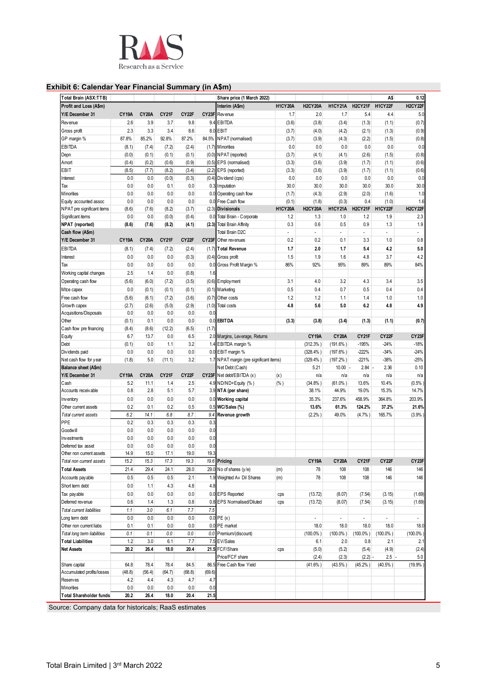

## **Exhibit 6: Calendar Year Financial Summary (in A\$m)**

| Total Brain (ASX:TTB)              |            |              |            |            |            | Share price (1 March 2022)              |                |                          |                |                          | A\$               | 0.12              |
|------------------------------------|------------|--------------|------------|------------|------------|-----------------------------------------|----------------|--------------------------|----------------|--------------------------|-------------------|-------------------|
| Profit and Loss (A\$m)             |            |              |            |            |            | Interim (A\$m)                          | H1CY20A        | <b>H2CY20A</b>           | H1CY21A        | H2CY21F                  | H1CY22F           | H2CY22F           |
| Y/E December 31                    | CY19A      | <b>CY20A</b> | CY21F      | CY22F      |            | CY23F Revenue                           | 1.7            | 2.0                      | 1.7            | 5.4                      | 4.4               | 5.0               |
| Rev enue                           | 2.6        | 3.9          | 3.7        | 9.8        |            | 9.4 EBITDA                              | (3.6)          | (3.8)                    | (3.4)          | (1.3)                    | (1.1)             | (0.7)             |
| Gross profit                       | 2.3        | 3.3          | 3.4        | 8.6        |            | 8.0 EBIT                                | (3.7)          | (4.0)                    | (4.2)          | (2.1)                    | (1.3)             | (0.9)             |
| GP margin %                        | 87.8%      | 85.2%        | 92.8%      | 87.2%      | 84.5%      | NPAT (normalised)                       | (3.7)          | (3.9)                    | (4.3)          | (2.2)                    | (1.5)             | (0.8)             |
| EBITDA                             | (8.1)      | (7.4)        | (7.2)      | (2.4)      |            | (1.7) Minorities                        | 0.0            | 0.0                      | 0.0            | 0.0                      | 0.0               | 0.0               |
| Depn                               | (0.0)      | (0.1)        | (0.1)      | (0.1)      |            | (0.0) NPAT (reported)                   | (3.7)          | (4.1)                    | (4.1)          | (2.6)                    | (1.5)             | (0.8)             |
| Amort                              | (0.4)      | (0.2)        | (0.6)      | (0.9)      |            | (0.5) EPS (normalised)                  | (3.3)          | (3.6)                    | (3.9)          | (1.7)                    | (1.1)             | (0.6)             |
| EBIT                               | (8.5)      | (7.7)        | (8.2)      | (3.4)      | (2.2)      | EPS (reported)                          | (3.3)          | (3.6)                    | (3.9)          | (1.7)                    | (1.1)             | (0.6)             |
| Interest                           | 0.0        | 0.0          | (0.0)      | (0.3)      | (0.4)      | Dividend (cps)                          | 0.0            | 0.0                      | 0.0            | 0.0                      | 0.0               | 0.0               |
| Tax                                | 0.0        | 0.0          | 0.1        | 0.0        |            | 0.3 Imputation                          | 30.0           | 30.0                     | 30.0           | 30.0                     | 30.0              | 30.0              |
| Minorities                         | 0.0        | 0.0          | 0.0        | 0.0        | 0.0        | Operating cash flow                     | (1.7)          | (4.3)                    | (2.9)          | (2.0)                    | (1.6)             | 1.0               |
| Equity accounted assoc             | 0.0        | 0.0          | 0.0        | 0.0        |            | 0.0 Free Cash flow                      | (0.1)          | (1.8)                    | (0.3)          | 0.4                      | (1.0)             | 1.6               |
| NPAT pre significant items         | (8.6)      | (7.6)        | (8.2)      | (3.7)      |            | (2.3) Divisionals                       | <b>H1CY20A</b> | <b>H2CY20A</b>           | <b>H1CY21A</b> | H2CY21F                  | H1CY22F           | H2CY22F           |
| Significant items                  | 0.0        | 0.0          | (0.0)      | (0.4)      |            | 0.0 Total Brain - Corporate             | 1.2            | 1.3                      | 1.0            | 1.2                      | 1.9               | 2.3               |
| <b>NPAT</b> (reported)             | (8.6)      | (7.6)        | (8.2)      | (4.1)      |            | (2.3) Total Brain Affinity              | 0.3            | 0.6                      | 0.5            | 0.9                      | 1.3               | 1.9               |
| Cash flow (A\$m)                   |            |              |            |            |            | Total Brain D2C                         | ä,             | $\overline{\phantom{a}}$ | $\blacksquare$ | $\overline{\phantom{a}}$ | $\sim$            | ÷.                |
| Y/E December 31                    | CY19A      | <b>CY20A</b> | CY21F      | CY22F      | CY23F      | Other revenues                          | 0.2            | 0.2                      | 0.1            | 3.3                      | 1.0               | 0.8               |
| EBITDA                             | (8.1)      | (7.4)        | (7.2)      | (2.4)      | (1.7)      | <b>Total Revenue</b>                    | 1.7            | 2.0                      | 1.7            | 5.4                      | 4.2               | 5.0               |
| Interest                           | 0.0        | 0.0          | 0.0        | (0.3)      | (0.4)      | Gross profit                            | 1.5            | 1.9                      | 1.6            | 4.8                      | 3.7               | 4.2               |
|                                    | 0.0        | 0.0          | 0.0        | 0.0        |            |                                         | 86%            | 92%                      | 95%            | 89%                      | 89%               | 84%               |
| Tax                                |            |              |            |            | 0.0        | Gross Profit Margin %                   |                |                          |                |                          |                   |                   |
| Working capital changes            | 2.5        | 1.4          | 0.0        | (0.8)      | 1.6        |                                         |                |                          |                |                          |                   |                   |
| Operating cash flow                | (5.6)      | (6.0)        | (7.2)      | (3.5)      |            | (0.6) Employment                        | 3.1            | 4.0                      | 3.2            | 4.3                      | 3.4               | 3.5               |
| Mtce capex                         | 0.0        | (0.1)        | (0.1)      | (0.1)      |            | $(0.1)$ Marketing                       | 0.5            | 0.4                      | 0.7            | 0.5                      | 0.4               | 0.4               |
| Free cash flow                     | (5.6)      | (6.1)        | (7.2)      | (3.6)      | (0.7)      | Other costs                             | 1.2            | 1.2                      | 1.1            | 1.4                      | 1.0               | 1.0               |
| Growth capex                       | (2.7)      | (2.6)        | (5.0)      | (2.9)      | (1.0)      | Total costs                             | 4.8            | 5.6                      | 5.0            | 6.2                      | 4.8               | 4.9               |
| Acquisitions/Disposals             | 0.0        | 0.0          | 0.0        | 0.0        | 0.0        |                                         |                |                          |                |                          |                   |                   |
| Other                              | (0.1)      | 0.1          | 0.0        | 0.0        |            | 0.0 EBITDA                              | (3.3)          | (3.8)                    | (3.4)          | (1.3)                    | (1.1)             | (0.7)             |
| Cash flow pre financing            | (8.4)      | (8.6)        | (12.2)     | (6.5)      | (1.7)      |                                         |                |                          |                |                          |                   |                   |
| Equity                             | 6.7        | 13.7         | 0.0        | 6.5        |            | 2.0 Margins, Leverage, Returns          |                | <b>CY19A</b>             | <b>CY20A</b>   | CY21F                    | CY22F             | CY <sub>23F</sub> |
| Debt                               | (0.1)      | 0.0          | 1.1        | 3.2        |            | 1.4 EBITDA margin %                     |                | (312.3% )                | $(191.6\%)$    | $-195%$                  | $-24%$            | $-18%$            |
| Dividends paid                     | 0.0        | 0.0          | 0.0        | 0.0        |            | 0.0 EBIT margin %                       |                | $(328.4\%)$              | $(197.6\%)$    | $-222%$                  | $-34%$            | $-24%$            |
| Net cash flow for year             | (1.8)      | 5.0          | (11.1)     | 3.2        |            | 1.7 NPAT margin (pre significant items) |                | $(329.4\%)$              | $(197.2\%)$    | $-221%$                  | $-38%$            | $-25%$            |
| Balance sheet (A\$m)               |            |              |            |            |            | Net Debt (Cash)                         |                | 5.21                     | $10.00 -$      | 2.84                     | 2.36              | 0.10              |
| Y/E December 31                    | CY19A      | <b>CY20A</b> | CY21F      | CY22F      |            | CY23F Net debt/EBITDA (x)               | (x)            | n/a                      | n/a            | n/a                      | n/a               | n/a               |
| Cash                               | 5.2        | 11.1         | 1.4        | 2.5        |            | 4.9 ND/ND+Equity (%)                    | $(\% )$        | (34.8%)                  | $(61.0\%)$     | 13.6%                    | 10.4%             | (0.5%             |
| Accounts receivable                | 0.8        | 2.8          | 5.1        | 5.7        |            | 3.9 NTA (per share)                     |                | 38.1%                    | 44.9%          | 19.0%                    | 15.3%             | 14.7%             |
| Inventory                          | 0.0        | 0.0          | 0.0        | 0.0        |            | 0.0 Working capital                     |                | 35.3%                    | 237.6%         | 458.9%                   | 364.8%            | 203.9%            |
| Other current assets               | 0.2        | 0.1          | 0.2        | 0.5        | 0.5        | WC/Sales (%)                            |                | 13.6%                    | 61.3%          | 124.2%                   | 37.2%             | 21.6%             |
| Total current assets               | 6.2        | 14.1         | 6.8        | 8.7        | 9.4        | Revenue growth                          |                | (2.2% )                  | 49.0%          | (4.7%                    | 165.7%            | (3.9%)            |
| PPE                                | 0.2        | 0.3          | 0.3        | 0.3        | 0.3        |                                         |                |                          |                |                          |                   |                   |
| Goodwill                           | 0.0        | 0.0          | 0.0        | 0.0        | 0.0        |                                         |                |                          |                |                          |                   |                   |
| Investments                        | 0.0        | 0.0          | 0.0        | 0.0        | 0.0        |                                         |                |                          |                |                          |                   |                   |
| Deferred tax asset                 | 0.0        | 0.0          | 0.0        | 0.0        | 0.0        |                                         |                |                          |                |                          |                   |                   |
| Other non current assets           | 14.9       | 15.0         | 17.1       | 19.0       | 19.3       |                                         |                |                          |                |                          |                   |                   |
| Total non current assets           | 15.2       | 15.3         | 17.3       | 19.3       |            | 19.6 Pricing                            |                | <b>CY19A</b>             | <b>CY20A</b>   | CY21F                    | CY <sub>22F</sub> | CY <sub>23F</sub> |
| <b>Total Assets</b>                | 21.4       | 29.4         | 24.1       | 28.0       |            | 29.0 No of shares (y/e)                 | (m)            | 78                       | 108            | 108                      | 146               | 146               |
| Accounts pay able                  | 0.5        | 0.5          | 0.5        | 2.1        |            | 1.9 Weighted Av Dil Shares              | (m)            | 78                       | 108            | 108                      | 146               | 146               |
| Short term debt                    | 0.0        | 1.1          | 4.3        | 4.8        | 4.8        |                                         |                |                          |                |                          |                   |                   |
| Tax payable                        | 0.0        | 0.0          | 0.0        | 0.0        |            | 0.0 EPS Reported                        | cps            | (13.72)                  | (8.07)         | (7.54)                   | (3.15)            | (1.69)            |
| Deferred rev enue                  | 0.6        | 1.4          | 1.3        | 0.8        |            | 0.8 EPS Normalised/Diluted              | cps            | (13.72)                  | (8.07)         | (7.54)                   | (3.15)            | (1.69)            |
| Total current liabilities          | 1.1        | 3.0          | 6.1        | 7.7        | 7.5        |                                         |                |                          |                |                          |                   |                   |
| Long term debt                     | 0.0        | 0.0          | 0.0        | $0.0\,$    |            | $0.0$ PE $(x)$                          |                |                          | $\mathbf{r}$   | ÷.                       |                   | $\sim$            |
| Other non current liabs            | 0.1        | 0.1          | 0.0        | 0.0        |            | 0.0 PE market                           |                | 18.0                     | 18.0           | 18.0                     | 18.0              | 18.0              |
| Total long term liabilities        | 0.1        | 0.1          | 0.0        | $0.0\,$    | 0.0        | Premium/(discount)                      |                | $(100.0\%)$              | $(100.0\%)$    | $(100.0\%)$              | $(100.0\%)$       | $(100.0\%)$       |
| <b>Total Liabilities</b>           | 1.2        | 3.0          | 6.1        | 7.7        |            | 7.5 EV/Sales                            |                | 6.1                      | 2.0            | 0.8                      | 2.1               | 2.1               |
|                                    | 20.2       | 26.4         | 18.0       | 20.4       |            | 21.5 FCF/Share                          | cps            | (5.0)                    | (5.2)          | (5.4)                    | (4.9)             | (2.4)             |
|                                    |            |              |            |            |            | Price/FCF share                         |                | (2.4)                    | (2.3)          | $(2.2) -$                | $2.5 -$           | 5.0               |
|                                    |            |              |            |            |            |                                         |                |                          |                |                          |                   |                   |
|                                    |            |              |            |            |            |                                         |                |                          |                |                          |                   |                   |
| <b>Net Assets</b><br>Share capital | 64.8       | 78.4         | 78.4       | 84.5       |            | 86.5 Free Cash flow Yield               |                | $(41.6\%)$               | $(43.5\%)$     | $(45.2\%)$               | $(40.5\%)$        | (19.9%            |
| Accumulated profits/losses         | (48.8)     | (56.4)       | (64.7)     | (68.8)     | (69.6)     |                                         |                |                          |                |                          |                   |                   |
| <b>Reserves</b><br>Minorities      | 4.2<br>0.0 | 4.4<br>0.0   | 4.3<br>0.0 | 4.7<br>0.0 | 4.7<br>0.0 |                                         |                |                          |                |                          |                   |                   |

Source: Company data for historicals; RaaS estimates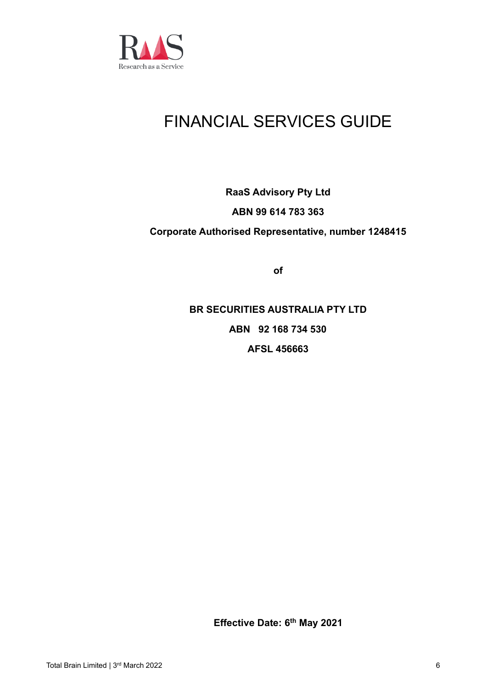

# FINANCIAL SERVICES GUIDE

# **RaaS Advisory Pty Ltd ABN 99 614 783 363 Corporate Authorised Representative, number 1248415**

**of**

**BR SECURITIES AUSTRALIA PTY LTD ABN 92 168 734 530 AFSL 456663**

**Effective Date: 6 th May 2021**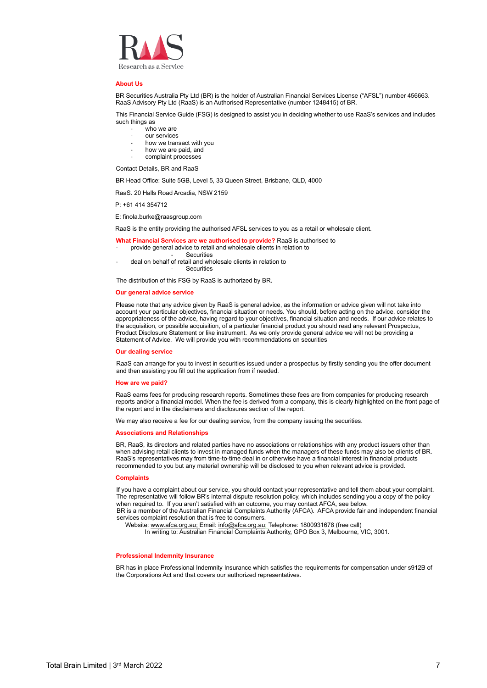

#### **About Us**

BR Securities Australia Pty Ltd (BR) is the holder of Australian Financial Services License ("AFSL") number 456663. RaaS Advisory Pty Ltd (RaaS) is an Authorised Representative (number 1248415) of BR.

This Financial Service Guide (FSG) is designed to assist you in deciding whether to use RaaS's services and includes such things as

- who we are
- our services
- how we transact with you
- how we are paid, and
- complaint processes

Contact Details, BR and RaaS

BR Head Office: Suite 5GB, Level 5, 33 Queen Street, Brisbane, QLD, 4000

RaaS. 20 Halls Road Arcadia, NSW 2159

P: +61 414 354712

E: finola.burke@raasgroup.com

RaaS is the entity providing the authorised AFSL services to you as a retail or wholesale client.

- **What Financial Services are we authorised to provide?** RaaS is authorised to
- provide general advice to retail and wholesale clients in relation to
	- **Securities**
- deal on behalf of retail and wholesale clients in relation to **Securities**

The distribution of this FSG by RaaS is authorized by BR.

#### **Our general advice service**

Please note that any advice given by RaaS is general advice, as the information or advice given will not take into account your particular objectives, financial situation or needs. You should, before acting on the advice, consider the appropriateness of the advice, having regard to your objectives, financial situation and needs. If our advice relates to the acquisition, or possible acquisition, of a particular financial product you should read any relevant Prospectus, Product Disclosure Statement or like instrument. As we only provide general advice we will not be providing a Statement of Advice. We will provide you with recommendations on securities

#### **Our dealing service**

RaaS can arrange for you to invest in securities issued under a prospectus by firstly sending you the offer document and then assisting you fill out the application from if needed.

#### **How are we paid?**

RaaS earns fees for producing research reports. Sometimes these fees are from companies for producing research reports and/or a financial model. When the fee is derived from a company, this is clearly highlighted on the front page of the report and in the disclaimers and disclosures section of the report.

We may also receive a fee for our dealing service, from the company issuing the securities.

#### **Associations and Relationships**

BR, RaaS, its directors and related parties have no associations or relationships with any product issuers other than when advising retail clients to invest in managed funds when the managers of these funds may also be clients of BR. RaaS's representatives may from time-to-time deal in or otherwise have a financial interest in financial products recommended to you but any material ownership will be disclosed to you when relevant advice is provided.

#### **Complaints**

If you have a complaint about our service, you should contact your representative and tell them about your complaint. The representative will follow BR's internal dispute resolution policy, which includes sending you a copy of the policy when required to. If you aren't satisfied with an outcome, you may contact AFCA, see below.

BR is a member of the Australian Financial Complaints Authority (AFCA). AFCA provide fair and independent financial services complaint resolution that is free to consumers.

Website[: www.afca.org.au;](http://www.afca.org.au/) Email: [info@afca.org.au;](mailto:info@afca.org.au) Telephone: 1800931678 (free call)

In writing to: Australian Financial Complaints Authority, GPO Box 3, Melbourne, VIC, 3001.

#### **Professional Indemnity Insurance**

BR has in place Professional Indemnity Insurance which satisfies the requirements for compensation under s912B of the Corporations Act and that covers our authorized representatives.